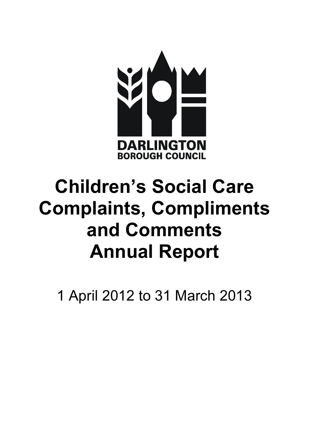

# Children's Social Care Annual Report Complaints, Compliments and Comments

1 April 2012 to 31 March 2013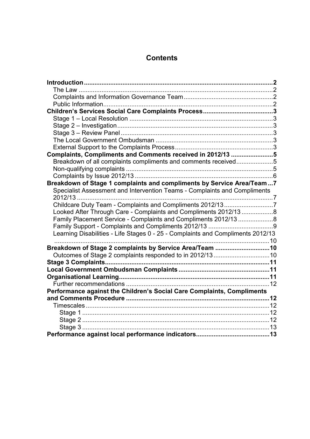# **Contents**

| Complaints, Compliments and Comments received in 2012/13 5                      |  |
|---------------------------------------------------------------------------------|--|
| Breakdown of all complaints compliments and comments received5                  |  |
|                                                                                 |  |
|                                                                                 |  |
| Breakdown of Stage 1 complaints and compliments by Service Area/Team 7          |  |
| Specialist Assessment and Intervention Teams - Complaints and Compliments       |  |
|                                                                                 |  |
| Childcare Duty Team - Complaints and Compliments 2012/137                       |  |
| Looked After Through Care - Complaints and Compliments 2012/13 8                |  |
| Family Placement Service - Complaints and Compliments 2012/13 8                 |  |
|                                                                                 |  |
| Learning Disabilities - Life Stages 0 - 25 - Complaints and Compliments 2012/13 |  |
|                                                                                 |  |
| Breakdown of Stage 2 complaints by Service Area/Team 10                         |  |
| Outcomes of Stage 2 complaints responded to in 2012/1310                        |  |
|                                                                                 |  |
|                                                                                 |  |
|                                                                                 |  |
|                                                                                 |  |
| Performance against the Children's Social Care Complaints, Compliments          |  |
|                                                                                 |  |
|                                                                                 |  |
|                                                                                 |  |
|                                                                                 |  |
|                                                                                 |  |
|                                                                                 |  |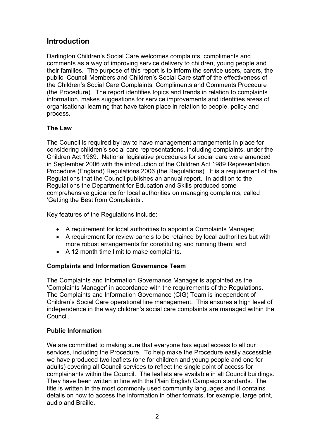# <span id="page-2-0"></span>**Introduction**

 Darlington Children's Social Care welcomes complaints, compliments and comments as a way of improving service delivery to children, young people and their families. The purpose of this report is to inform the service users, carers, the public, Council Members and Children's Social Care staff of the effectiveness of the Children's Social Care Complaints, Compliments and Comments Procedure (the Procedure). The report identifies topics and trends in relation to complaints information, makes suggestions for service improvements and identifies areas of organisational learning that have taken place in relation to people, policy and process.

## The Law

 The Council is required by law to have management arrangements in place for considering children's social care representations, including complaints, under the Children Act 1989. National legislative procedures for social care were amended in September 2006 with the introduction of the Children Act 1989 Representation Procedure (England) Regulations 2006 (the Regulations). It is a requirement of the Regulations that the Council publishes an annual report. In addition to the Regulations the Department for Education and Skills produced some comprehensive guidance for local authorities on managing complaints, called 'Getting the Best from Complaints'.

Key features of the Regulations include:

- A requirement for local authorities to appoint a Complaints Manager;
- • A requirement for review panels to be retained by local authorities but with more robust arrangements for constituting and running them; and
- • A 12 month time limit to make complaints.

## Complaints and Information Governance Team

 The Complaints and Information Governance Manager is appointed as the 'Complaints Manager' in accordance with the requirements of the Regulations. The Complaints and Information Governance (CIG) Team is independent of Children's Social Care operational line management. This ensures a high level of independence in the way children's social care complaints are managed within the Council.

## Public Information

 We are committed to making sure that everyone has equal access to all our services, including the Procedure. To help make the Procedure easily accessible we have produced two leaflets (one for children and young people and one for adults) covering all Council services to reflect the single point of access for complainants within the Council. The leaflets are available in all Council buildings. They have been written in line with the Plain English Campaign standards. The title is written in the most commonly used community languages and it contains details on how to access the information in other formats, for example, large print, audio and Braille.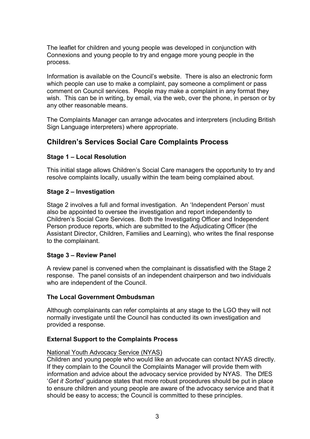<span id="page-3-0"></span> The leaflet for children and young people was developed in conjunction with Connexions and young people to try and engage more young people in the process.

 Information is available on the Council's website. There is also an electronic form which people can use to make a complaint, pay someone a compliment or pass comment on Council services. People may make a complaint in any format they wish. This can be in writing, by email, via the web, over the phone, in person or by any other reasonable means.

 The Complaints Manager can arrange advocates and interpreters (including British Sign Language interpreters) where appropriate.

# Children's Services Social Care Complaints Process

## Stage 1 – Local Resolution

 This initial stage allows Children's Social Care managers the opportunity to try and resolve complaints locally, usually within the team being complained about.

#### Stage 2 – Investigation

 Stage 2 involves a full and formal investigation. An 'Independent Person' must also be appointed to oversee the investigation and report independently to Children's Social Care Services. Both the Investigating Officer and Independent Person produce reports, which are submitted to the Adjudicating Officer (the Assistant Director, Children, Families and Learning), who writes the final response to the complainant.

#### Stage 3 – Review Panel

 A review panel is convened when the complainant is dissatisfied with the Stage 2 response. The panel consists of an independent chairperson and two individuals who are independent of the Council.

#### The Local Government Ombudsman

 Although complainants can refer complaints at any stage to the LGO they will not normally investigate until the Council has conducted its own investigation and provided a response.

#### External Support to the Complaints Process

#### National Youth Advocacy Service (NYAS)

 Children and young people who would like an advocate can contact NYAS directly. If they complain to the Council the Complaints Manager will provide them with information and advice about the advocacy service provided by NYAS. The DfES 'Get it Sorted' guidance states that more robust procedures should be put in place to ensure children and young people are aware of the advocacy service and that it should be easy to access; the Council is committed to these principles.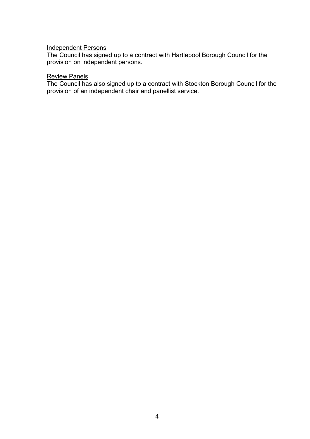#### Independent Persons

Council has signed up to a contract with Hartlepool Borough Council for the provision on independent persons. The Council has signed up to a contract with Hartlepool Borough Council for the

#### Review Panels

 The Council has also signed up to a contract with Stockton Borough Council for the provision of an independent chair and panellist service.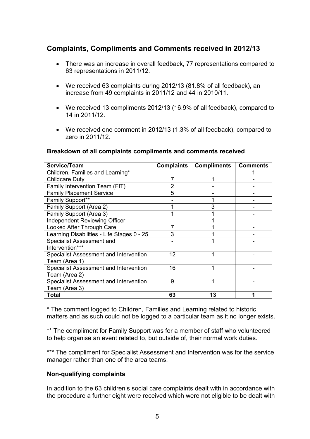# Complaints, Compliments and Comments received in 2012/13

- There was an increase in overall feedback, 77 representations compared to 63 representations in 2011/12.
- We received 63 complaints during 2012/13 (81.8% of all feedback), an increase from 49 complaints in 2011/12 and 44 in 2010/11.
- • We received 13 compliments 2012/13 (16.9% of all feedback), compared to 14 in 2011/12.
- We received one comment in 2012/13 (1.3% of all feedback), compared to zero in 2011/12.

#### Breakdown of all complaints compliments and comments received

| Service/Team                                            | <b>Complaints</b> | <b>Compliments</b> | <b>Comments</b> |
|---------------------------------------------------------|-------------------|--------------------|-----------------|
| Children, Families and Learning*                        |                   |                    |                 |
| Childcare Duty                                          |                   |                    |                 |
| Family Intervention Team (FIT)                          | 2                 |                    |                 |
| <b>Family Placement Service</b>                         | 5                 |                    |                 |
| Family Support**                                        |                   |                    |                 |
| Family Support (Area 2)                                 |                   |                    |                 |
| Family Support (Area 3)                                 |                   |                    |                 |
| Independent Reviewing Officer                           |                   |                    |                 |
| Looked After Through Care                               |                   |                    |                 |
| Learning Disabilities - Life Stages 0 - 25              | 3                 |                    |                 |
| Specialist Assessment and<br>Intervention***            |                   |                    |                 |
| Specialist Assessment and Intervention<br>Team (Area 1) | 12                |                    |                 |
| Specialist Assessment and Intervention<br>Team (Area 2) | 16                |                    |                 |
| Specialist Assessment and Intervention<br>Team (Area 3) | 9                 |                    |                 |
| <b>Total</b>                                            | 63                | 13                 |                 |

 \* The comment logged to Children, Families and Learning related to historic matters and as such could not be logged to a particular team as it no longer exists.

 \*\* The compliment for Family Support was for a member of staff who volunteered to help organise an event related to, but outside of, their normal work duties.

\*\*\* The compliment for Specialist Assessment and Intervention was for the service manager rather than one of the area teams.

#### Non-qualifying complaints

 In addition to the 63 children's social care complaints dealt with in accordance with the procedure a further eight were received which were not eligible to be dealt with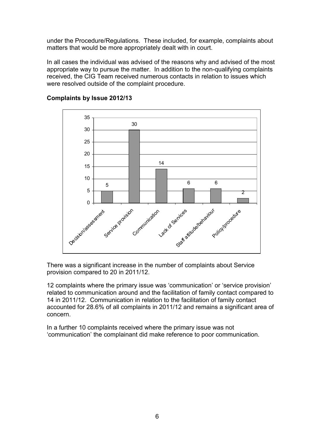<span id="page-6-0"></span> under the Procedure/Regulations. These included, for example, complaints about matters that would be more appropriately dealt with in court.

 In all cases the individual was advised of the reasons why and advised of the most appropriate way to pursue the matter. In addition to the non-qualifying complaints received, the CIG Team received numerous contacts in relation to issues which were resolved outside of the complaint procedure.



## Complaints by Issue 2012/13

 There was a significant increase in the number of complaints about Service provision compared to 20 in 2011/12.

 12 complaints where the primary issue was 'communication' or 'service provision' related to communication around and the facilitation of family contact compared to 14 in 2011/12. Communication in relation to the facilitation of family contact accounted for 28.6% of all complaints in 2011/12 and remains a significant area of concern.

 In a further 10 complaints received where the primary issue was not 'communication' the complainant did make reference to poor communication.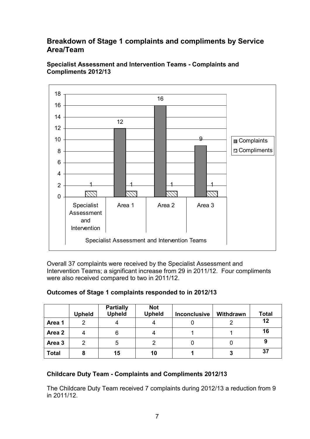# Breakdown of Stage 1 complaints and compliments by Service Area/Team



 Specialist Assessment and Intervention Teams Complaints and Compliments 2012/13

 Overall 37 complaints were received by the Specialist Assessment and Intervention Teams; a significant increase from 29 in 2011/12. Four compliments were also received compared to two in 2011/12.

|                   | <b>Upheld</b> | <b>Partially</b><br><b>Upheld</b> | <b>Not</b><br><b>Upheld</b> | <b>Inconclusive</b> | Withdrawn | <b>Total</b> |
|-------------------|---------------|-----------------------------------|-----------------------------|---------------------|-----------|--------------|
| Area 1            | ◠             |                                   |                             |                     |           | 12           |
| Area 2            |               | 6                                 |                             |                     |           | 16           |
| Area <sub>3</sub> | っ             | 5                                 | ◠                           |                     |           | 9            |
| <b>Total</b>      | 8             | 15                                | 10                          |                     |           | 37           |

## Outcomes of Stage 1 complaints responded to in 2012/13

## Childcare Duty Team Complaints and Compliments 2012/13

 The Childcare Duty Team received 7 complaints during 2012/13 a reduction from 9 in 2011/12.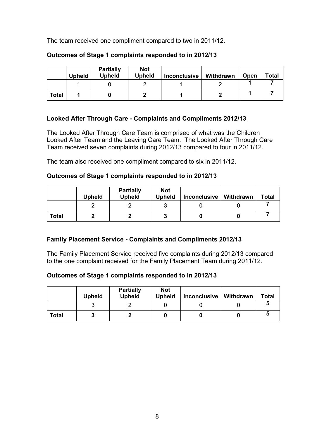The team received one compliment compared to two in 2011/12.

|              | <b>Upheld</b> | <b>Partially</b><br><b>Upheld</b> | <b>Not</b><br><b>Upheld</b> | <b>Inconclusive</b> | Withdrawn | Open | <b>Total</b> |
|--------------|---------------|-----------------------------------|-----------------------------|---------------------|-----------|------|--------------|
|              |               |                                   |                             |                     |           |      |              |
| <b>Total</b> |               |                                   |                             |                     |           |      |              |

## Outcomes of Stage 1 complaints responded to in 2012/13

## Looked After Through Care Complaints and Compliments 2012/13

 The Looked After Through Care Team is comprised of what was the Children Looked After Team and the Leaving Care Team. The Looked After Through Care Team received seven complaints during 2012/13 compared to four in 2011/12.

The team also received one compliment compared to six in 2011/12.

#### Outcomes of Stage 1 complaints responded to in 2012/13

|              | Upheld | <b>Partially</b><br><b>Upheld</b> | <b>Not</b><br><b>Upheld</b> | <b>Inconclusive</b> | Withdrawn | <b>Total</b> |
|--------------|--------|-----------------------------------|-----------------------------|---------------------|-----------|--------------|
|              |        |                                   |                             |                     |           |              |
| <b>Total</b> |        |                                   | 7                           |                     |           |              |

## Family Placement Service Complaints and Compliments 2012/13

 The Family Placement Service received five complaints during 2012/13 compared to the one complaint received for the Family Placement Team during 2011/12.

## Outcomes of Stage 1 complaints responded to in 2012/13

|              | <b>Upheld</b> | <b>Partially</b><br><b>Upheld</b> | <b>Not</b><br><b>Upheld</b> | <b>Inconclusive</b> | Withdrawn | <b>Total</b> |
|--------------|---------------|-----------------------------------|-----------------------------|---------------------|-----------|--------------|
|              |               |                                   |                             |                     |           |              |
| <b>Total</b> |               |                                   |                             |                     |           |              |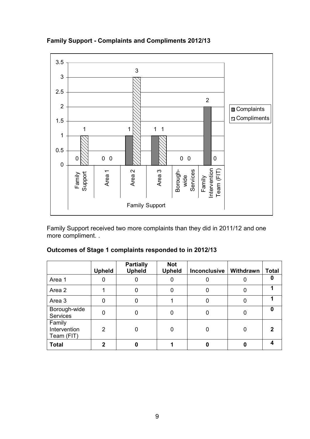

Family Support Complaints and Compliments 2012/13

 Family Support received two more complaints than they did in 2011/12 and one more compliment. .

|                                      | <b>Upheld</b> | <b>Partially</b><br><b>Upheld</b> | <b>Not</b><br><b>Upheld</b> | Inconclusive | Withdrawn | <b>Total</b> |
|--------------------------------------|---------------|-----------------------------------|-----------------------------|--------------|-----------|--------------|
| Area 1                               |               |                                   |                             |              |           |              |
| Area 2                               |               | 0                                 |                             |              |           |              |
| Area 3                               | ი             | 0                                 |                             |              |           |              |
| Borough-wide<br>Services             |               | 0                                 |                             |              |           | ŋ            |
| Family<br>Intervention<br>Team (FIT) | 2             | 0                                 |                             |              |           |              |
| <b>Total</b>                         | 2             | O                                 |                             |              |           |              |

## Outcomes of Stage 1 complaints responded to in 2012/13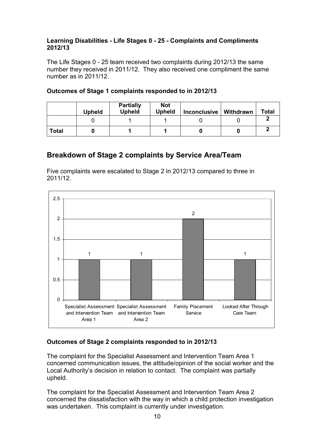## Learning Disabilities - Life Stages 0 - 25 - Complaints and Compliments 2012/13

 The Life Stages 0 - 25 team received two complaints during 2012/13 the same number they received in 2011/12. They also received one compliment the same number as in 2011/12.

|              | <b>Upheld</b> | <b>Partially</b><br><b>Upheld</b> | <b>Not</b><br><b>Upheld</b> | <b>Inconclusive</b> | Withdrawn | Total |
|--------------|---------------|-----------------------------------|-----------------------------|---------------------|-----------|-------|
|              |               |                                   |                             |                     |           |       |
| <b>Total</b> |               |                                   |                             |                     |           |       |

## Outcomes of Stage 1 complaints responded to in 2012/13

# Breakdown of Stage 2 complaints by Service Area/Team

 Five complaints were escalated to Stage 2 in 2012/13 compared to three in 2011/12.



## Outcomes of Stage 2 complaints responded to in 2012/13

 The complaint for the Specialist Assessment and Intervention Team Area 1 concerned communication issues, the attitude/opinion of the social worker and the Local Authority's decision in relation to contact. The complaint was partially upheld.

 The complaint for the Specialist Assessment and Intervention Team Area 2 concerned the dissatisfaction with the way in which a child protection investigation was undertaken. This complaint is currently under investigation.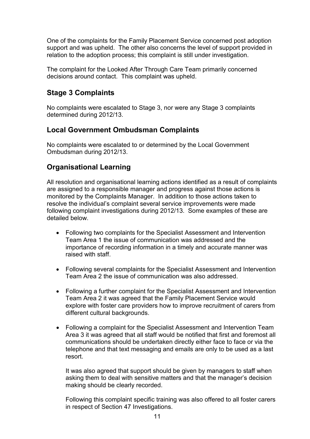<span id="page-11-0"></span> One of the complaints for the Family Placement Service concerned post adoption support and was upheld. The other also concerns the level of support provided in relation to the adoption process; this complaint is still under investigation.

 The complaint for the Looked After Through Care Team primarily concerned decisions around contact. This complaint was upheld.

# Stage 3 Complaints

 No complaints were escalated to Stage 3, nor were any Stage 3 complaints determined during 2012/13.

# Local Government Ombudsman Complaints

 No complaints were escalated to or determined by the Local Government Ombudsman during 2012/13.

# Organisational Learning

 All resolution and organisational learning actions identified as a result of complaints are assigned to a responsible manager and progress against those actions is monitored by the Complaints Manager. In addition to those actions taken to resolve the individual's complaint several service improvements were made following complaint investigations during 2012/13. Some examples of these are detailed below.

- • Following two complaints for the Specialist Assessment and Intervention Team Area 1 the issue of communication was addressed and the importance of recording information in a timely and accurate manner was raised with staff.
- • Following several complaints for the Specialist Assessment and Intervention Team Area 2 the issue of communication was also addressed.
- • Following a further complaint for the Specialist Assessment and Intervention Team Area 2 it was agreed that the Family Placement Service would explore with foster care providers how to improve recruitment of carers from different cultural backgrounds.
- • Following a complaint for the Specialist Assessment and Intervention Team Area 3 it was agreed that all staff would be notified that first and foremost all communications should be undertaken directly either face to face or via the telephone and that text messaging and emails are only to be used as a last resort.

 It was also agreed that support should be given by managers to staff when asking them to deal with sensitive matters and that the manager's decision making should be clearly recorded.

 Following this complaint specific training was also offered to all foster carers in respect of Section 47 Investigations.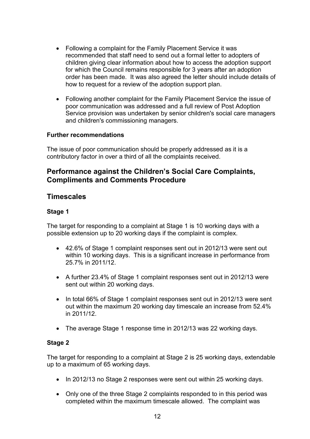- <span id="page-12-0"></span> • Following a complaint for the Family Placement Service it was recommended that staff need to send out a formal letter to adopters of children giving clear information about how to access the adoption support for which the Council remains responsible for 3 years after an adoption order has been made. It was also agreed the letter should include details of how to request for a review of the adoption support plan.
- • Following another complaint for the Family Placement Service the issue of poor communication was addressed and a full review of Post Adoption Service provision was undertaken by senior children's social care managers and children's commissioning managers.

#### Further recommendations

 The issue of poor communication should be properly addressed as it is a contributory factor in over a third of all the complaints received.

# Performance against the Children's Social Care Complaints, Compliments and Comments Procedure

# **Timescales**

#### Stage 1

 The target for responding to a complaint at Stage 1 is 10 working days with a possible extension up to 20 working days if the complaint is complex.

- • 42.6% of Stage 1 complaint responses sent out in 2012/13 were sent out within 10 working days. This is a significant increase in performance from 25.7% in 2011/12.
- A further 23.4% of Stage 1 complaint responses sent out in 2012/13 were sent out within 20 working days.
- In total 66% of Stage 1 complaint responses sent out in 2012/13 were sent out within the maximum 20 working day timescale an increase from 52.4% in 2011/12.
- The average Stage 1 response time in 2012/13 was 22 working days.

#### Stage 2

 The target for responding to a complaint at Stage 2 is 25 working days, extendable up to a maximum of 65 working days.

- In 2012/13 no Stage 2 responses were sent out within 25 working days.
- Only one of the three Stage 2 complaints responded to in this period was completed within the maximum timescale allowed. The complaint was